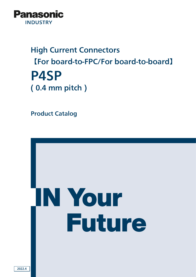

# High Current Connectors 【For board-to-FPC/For board-to-board】 P4SP ( 0.4 mm pitch )

Product Catalog

# IN Your **Future**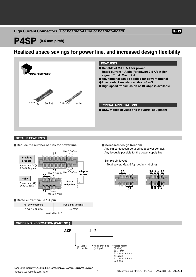#### **High Current Connectors For board-to-FPC/For board-to-board**

**RoHS** 

# **P4SP (0.4 mm pitch)**

### **Realized space savings for power line, and increased design flexibility**



#### **DETAILS FEATURES**

#### **Reduce the number of pins for power line Increased design freedom**



#### **Rated current value 1 A/pin**

| For power terminal | For signal terminal |  |  |  |
|--------------------|---------------------|--|--|--|
| 1 A/pin x 10 pins  | $0.5$ A/pin         |  |  |  |
| Total: Max. 12 A   |                     |  |  |  |

#### **ORDERING INFORMATION (PART NO.)**



Any pin contact can be used as a power contact. Any layout is possible for the power supply line.

Sample pin layout Total power: Max. 5 A (1 A/pin × 10 pins)



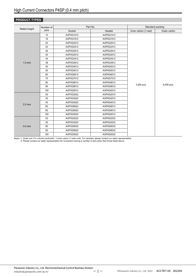#### **PRODUCT TYPES**

|                      | Number of |           | Part No.  |                       | Standard packing |
|----------------------|-----------|-----------|-----------|-----------------------|------------------|
| Mated height<br>pins |           | Socket    | Header    | Inner carton (1-reel) | Outer carton     |
|                      | 10        | AXF5G1012 | AXF6G1012 |                       |                  |
|                      | 16        | AXF5G1612 | AXF6G1612 |                       |                  |
|                      | 20        | AXF5G2012 | AXF6G2012 |                       |                  |
|                      | 24        | AXF5G2412 | AXF6G2412 |                       |                  |
|                      | 26        | AXF5G2612 | AXF6G2612 |                       |                  |
|                      | 30        | AXF5G3012 | AXF6G3012 |                       |                  |
|                      | 34        | AXF5G3412 | AXF6G3412 |                       |                  |
| $1.5$ mm             | 38        | AXF5G3812 | AXF6G3812 |                       |                  |
|                      | 40        | AXF5G4012 | AXF6G4012 |                       |                  |
|                      | 50        | AXF5G5012 | AXF6G5012 |                       |                  |
|                      | 60        | AXF5G6012 | AXF6G6012 |                       |                  |
|                      | 70        | AXF5G7012 | AXF6G7012 | 3,000 pcs.            |                  |
|                      | 80        | AXF5G8012 | AXF6G8012 |                       |                  |
|                      | 90        | AXF5G9012 | AXF6G9012 |                       | 6,000 pcs.       |
|                      | 100       | AXF5G0012 | AXF6G0012 |                       |                  |
|                      | 20        | AXF5G2022 | AXF6G2012 |                       |                  |
|                      | 30        | AXF5G3022 | AXF6G3012 |                       |                  |
| $2.5$ mm             | 40        | AXF5G4022 | AXF6G4012 |                       |                  |
|                      | 60        | AXF5G6022 | AXF6G6012 |                       |                  |
|                      | 80        | AXF5G8022 | AXF6G8012 |                       |                  |
|                      | 100       | AXF5G0022 | AXF6G0012 |                       |                  |
|                      | 20        | AXF5G2022 | AXF6G2032 |                       |                  |
|                      | 30        | AXF5G3022 | AXF6G3032 |                       |                  |
| 3.0 mm               | 60        | AXF5G6022 | AXF6G6032 |                       |                  |
|                      | 80        | AXF5G8022 | AXF6G8032 |                       |                  |
|                      | 100       | AXF5G0022 | AXF6G0032 |                       |                  |

Notes: 1. Order unit: For volume production: 1-inner carton (1-reel) units. For samples, please contact our sales representative. 2. Please contact our sales representative for connectors having a number of pins other than those listed above.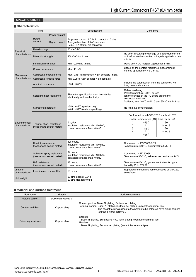#### **SPECIFICATIONS**

#### **Characteristics**

| Item                                                     |                                                         |                | Specifications                                                                                                                    |                                                                                                                                                                                       | Conditions                                                                                                                       |                                                  |
|----------------------------------------------------------|---------------------------------------------------------|----------------|-----------------------------------------------------------------------------------------------------------------------------------|---------------------------------------------------------------------------------------------------------------------------------------------------------------------------------------|----------------------------------------------------------------------------------------------------------------------------------|--------------------------------------------------|
|                                                          |                                                         | Power contact  |                                                                                                                                   |                                                                                                                                                                                       |                                                                                                                                  |                                                  |
|                                                          | Rated<br>current                                        | Signal contact | As power contact: 1.0 A/pin contact $\times$ 10 pins<br>As signal contact: 0.5 A/pin contact<br>(Max. 12 A at total pin contacts) |                                                                                                                                                                                       |                                                                                                                                  |                                                  |
|                                                          | Rated voltage                                           |                | 30 V AC/DC                                                                                                                        |                                                                                                                                                                                       |                                                                                                                                  |                                                  |
| Electrical<br>characteristics<br>Dielectric strength     |                                                         |                | 150 V AC for 1 min.                                                                                                               | minute.                                                                                                                                                                               | No short-circuiting or damage at a detection current<br>of 1 mA when the specified voltage is applied for one                    |                                                  |
|                                                          | Insulation resistance                                   |                | Min. 1,000 $M\Omega$ (initial)                                                                                                    |                                                                                                                                                                                       | Using 250 V DC megger (applied for 1 min.)                                                                                       |                                                  |
|                                                          | Contact resistance                                      |                | Max. $40 \text{ m}\Omega$                                                                                                         |                                                                                                                                                                                       | Based on the contact resistance measurement<br>method specified by JIS C 5402.                                                   |                                                  |
| Mechanical                                               | Composite insertion force                               |                | Max. 0.981 N/pin contact × pin contacts (initial)                                                                                 |                                                                                                                                                                                       |                                                                                                                                  |                                                  |
| characteristics                                          | Composite removal force                                 |                | Min. 0.0588 N/pin contact $\times$ pin contacts                                                                                   |                                                                                                                                                                                       |                                                                                                                                  |                                                  |
|                                                          | Ambient temperature                                     |                | –55 to +85°C                                                                                                                      |                                                                                                                                                                                       | Include the calorification from the connector. No<br>icing. No condensation.                                                     |                                                  |
| Soldering heat resistance                                |                                                         |                | The initial specification must be satisfied<br>electrically and mechanically.                                                     | Reflow soldering:<br>Peak temperature: 260°C or less<br>(on the surface of the PC board around the<br>connector terminals)<br>Soldering iron: 300°C within 5 sec. 350°C within 3 sec. |                                                                                                                                  |                                                  |
|                                                          | Storage temperature                                     |                | $-55$ to $+85^{\circ}$ C (product only)<br>$-40$ to $+50^{\circ}$ C (emboss packing)                                              | No icing. No condensation.                                                                                                                                                            |                                                                                                                                  |                                                  |
| Environmental<br>characteristics                         | Thermal shock resistance<br>(header and socket mated)   |                | 5 cycles,<br>insulation resistance Min. 100 $M\Omega$ ,<br>contact resistance Max, 40 m $\Omega$                                  | $\mathbf{1}$<br>$\overline{2}$<br>3<br>4                                                                                                                                              | Conformed to MIL-STD-202F, method 107G<br>Order Temperature (°C) Time (minutes)<br>$-55-3$<br>₹<br>$85^{+3}_{0}$<br>₹<br>$-55.3$ | 30<br>Max. 5<br>30<br>Max. 5                     |
| Humidity resistance<br>(header and socket mated)         |                                                         |                | 120 hours,<br>insulation resistance Min. 100 $M\Omega$ ,<br>contact resistance Max. 40 m $\Omega$                                 |                                                                                                                                                                                       | Conformed to IEC60068-2-78<br>Temperature 40±2°C, humidity 90 to 95% RH                                                          |                                                  |
|                                                          | Saltwater spray resistance<br>(header and socket mated) |                | 24 hours.<br>insulation resistance Min. 100 $\text{M}\Omega$ ,<br>contact resistance Max. 40 m $\Omega$                           | Conformed to IEC60068-2-11<br>Temperature 35±2°C, saltwater concentration 5±1%                                                                                                        |                                                                                                                                  |                                                  |
| H <sub>2</sub> S resistance<br>(header and socket mated) |                                                         |                | 48 hours.<br>contact resistance Max. 40 m $\Omega$                                                                                | Temperature 40±2°C, gas concentration 3±1 ppm,<br>humidity 75 to 80% RH                                                                                                               |                                                                                                                                  |                                                  |
| Lifetime<br>characteristics                              | Insertion and removal life                              |                | 50 times                                                                                                                          | times/hour                                                                                                                                                                            |                                                                                                                                  | Repeated insertion and removal speed of Max. 200 |
| Unit weight                                              |                                                         |                | 20 pins Socket: 0.04 g<br>20 pins Header: 0.02 q                                                                                  |                                                                                                                                                                                       |                                                                                                                                  |                                                  |

#### **Material and surface treatment**

| Part name               | Material            | Surface treatment                                                                                                                                                                                                                                           |
|-------------------------|---------------------|-------------------------------------------------------------------------------------------------------------------------------------------------------------------------------------------------------------------------------------------------------------|
| Molded portion          | LCP resin (UL94V-0) |                                                                                                                                                                                                                                                             |
| <b>Contact and Post</b> | Copper alloy        | Contact portion: Base: Ni plating, Surface: Au plating<br>Terminal portion: Base: Ni plating, Surface: Au plating (except the terminal tips)<br>The socket terminals close to the portion to be soldered have nickel barriers<br>(exposed nickel portions). |
| Soldering terminals     | Copper alloy        | Sockets:<br>Base: Ni plating, Surface: Pd + Au flash plating (except the terminal tips)<br>Headers:<br>Base: Ni plating, Surface: Au plating (except the terminal tips)                                                                                     |

ー 3 ー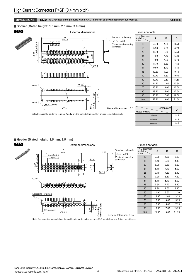#### **DIMENSIONS CAD** The CAD data of the products with a "CAD" mark can be downloaded from our Website. Unit: mm

#### **Socket (Mated height: 1.5 mm, 2.5 mm, 3.0 mm)**



| Dimension table                        |       |       |       |  |
|----------------------------------------|-------|-------|-------|--|
| <b>Dimensions</b><br>Number<br>of pins | A     | B     | C     |  |
| 10                                     | 4.70  | 1.60  | 3.50  |  |
| 16                                     | 5.90  | 2.80  | 4.70  |  |
| 20                                     | 6.70  | 3.60  | 5.50  |  |
| 24                                     | 7.50  | 4.40  | 6.30  |  |
| 26                                     | 7.90  | 4.80  | 6.70  |  |
| 30                                     | 8.70  | 5.60  | 7.50  |  |
| 34                                     | 9.50  | 6.40  | 8.30  |  |
| 38                                     | 10.30 | 7.20  | 9.10  |  |
| 40                                     | 10.70 | 7.60  | 9.50  |  |
| 50                                     | 12.70 | 9.60  | 11.50 |  |
| 60                                     | 14.70 | 11.60 | 13.50 |  |
| 70                                     | 16.70 | 13.60 | 15.50 |  |
| 80                                     | 18.70 | 15.60 | 17.50 |  |
| 90                                     | 20.70 | 17.60 | 19.50 |  |
| 100                                    | 22.70 | 19.60 | 21.50 |  |

General tolerance: ±0.2

| <b>Dimensions</b><br>D |
|------------------------|
| 1.45                   |
| 2.45                   |
| 2.45                   |
|                        |

#### **Header (Mated height: 1.5 mm, 2.5 mm)**



Note: Because the soldering terminal Y and Z are the unified structure, they are connected electrically.

Dimension table

| <b>Dimensions</b><br>Number<br>of pins | A     | B     | C     |
|----------------------------------------|-------|-------|-------|
| 10                                     | 3.90  | 1.60  | 3.20  |
| 16                                     | 5.10  | 2.80  | 4.40  |
| 20                                     | 5.90  | 3.60  | 5.20  |
| 24                                     | 6.70  | 4.40  | 6.00  |
| 26                                     | 7.10  | 4.80  | 6.40  |
| 30                                     | 7.90  | 5.60  | 7.20  |
| 34                                     | 8.70  | 6.40  | 8.00  |
| 38                                     | 9.50  | 7.20  | 8.80  |
| 40                                     | 9.90  | 7.60  | 9.20  |
| 50                                     | 11.90 | 9.60  | 11.20 |
| 60                                     | 13.90 | 11.60 | 13.20 |
| 70                                     | 15.90 | 13.60 | 15.20 |
| 80                                     | 17.90 | 15.60 | 17.20 |
| 90                                     | 19.90 | 17.60 | 19.20 |
| 100                                    | 21.90 | 19.60 | 21.20 |

Note: The soldering terminal dimentions of headers with mated heights of 1.5 mm/2.5mm and 3.0mm are different.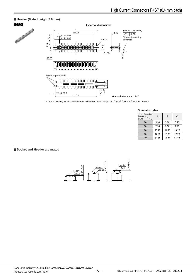

Note: The soldering terminal dimentions of headers with mated heights of 1.5 mm/2.5mm and 3.0mm are different.

| Dimension table                        |       |       |       |  |
|----------------------------------------|-------|-------|-------|--|
| Number<br><b>Dimensions</b><br>of pins | А     | B     | C     |  |
| 20                                     | 5.90  | 3.60  | 5.20  |  |
| 30                                     | 7.90  | 5.60  | 7.20  |  |
| 60                                     | 13.90 | 11.60 | 13.20 |  |
| 80                                     | 17.90 | 15.60 | 17.20 |  |
| 100                                    | 21.90 | 19.60 | 21.20 |  |
|                                        |       |       |       |  |

**Socket and Header are mated**

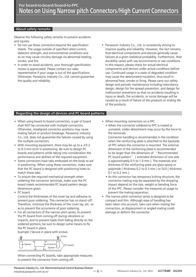#### About safety remarks

Observe the following safety remarks to prevent accidents and injuries.

- Do not use these connectors beyond the specification sheets. The usage outside of specified rated current, dielectric strength, and environmental conditions and so on may cause circuitry damage via abnormal heating, smoke, and fire.
- In order to avoid accidents, your thorough specification review is appreciated. Please contact our sales representative if your usage is out of the specifications. Otherwise, Panasonic Industry Co., Ltd. cannot guarantee the quality and reliability.
- Panasonic Industry Co., Ltd. is consistently striving to improve quality and reliability. However, the fact remains that electrical components and devices generally cause failures at a given statistical probability. Furthermore, their durability varies with use environments or use conditions. In this respect, please check for actual electrical components and devices under actual conditions before use. Continued usage in a state of degraded condition may cause the deteriorated insulation, thus result in abnormal heat, smoke or firing. Please carry out safety design and periodic maintenance including redundancy design, design for fire spread prevention, and design for malfunction prevention so that no accidents resulting in injury or death, fire accidents, or social damage will be caused as a result of failure of the products or ending life of the products.

#### Regarding the design of devices and PC board patterns

- When using board to board connectors, a pair of board shall NOT be connected with multiple connectors. Otherwise, misaligned connector positions may cause mating failure or product breakage. Panasonic Industry Co., Ltd. does not guarantee the failures caused by using the multiple connectors.
- With mounting equipment, there may be up to a  $\pm 0.2$ to 0.3 mm error in positioning. Be sure to design PC boards and patterns while taking into consideration the performance and abilities of the required equipment.
- Some connectors have tabs embossed on the body to aid in positioning. When using these connectors, make sure that the PC board is designed with positioning holes to match these tabs.
- To ensure the required mechanical strength when soldering the connector terminals, make sure the PC board meets recommended PC board pattern design dimensions given.
- PC board

Control the thicknesses of the cover lay and adhesive to prevent poor soldering. This connector has no stand-off. Therefore, minimize the thickness of the cover lay, etc. so as to prevent the occurrence of poor soldering.

• For all connectors of the narrow pitch series, to prevent the PC board from coming off during vibrations or impacts, and to prevent loads from falling directly on the soldered portions, be sure to design some means to fix the PC board in place.

Example ) Secure in place with screws



When connecting PC boards, take appropriate measures to prevent the connector from coming off.

- When mounting connectors on a FPC
	- When the connector soldered to FPC is mated or unmated, solder detachment may occur by the force to the terminals.
	- Connector handling is recommended in the condition when the reinforcing plate is attached to the backside of FPC where the connector is mounted. The external dimension of the reinforcing plate is recommended to be larger than the dimension of " Recommended PC board pattern " ( extended dimension of one side is approximately 0.5 to 1.0 mm ). The materials and thickness of the reinforcing plate are glass epoxy or polyimide ( thickness 0.2 to 0.3 mm ) or SUS ( thickness 0.1 to 0.2 mm ).
	- As this connector has temporary locking structure, the connector mating may be separated by the dropping impact depend on the size, weight or bending force of the FPC. Please consider the measures at usage to prevent the mating separation.
- The narrow pitch connector series is designed to be compact and thin. Although ease of handling has been taken into account, take care when mating the connectors, as displacement or angled mating could damage or deform the connector.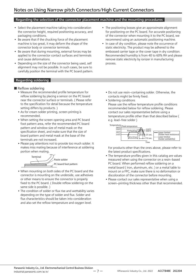#### Regarding the selection of the connector placement machine and the mounting procedures

- Select the placement machine taking into consideration the connector height, required positioning accuracy, and packaging conditions.
- Be aware that if the chucking force of the placement machine is too great, it may deform the shape of the connector body or connector terminals.
- Be aware that during mounting, external forces may be applied to the connector contact surfaces and terminals and cause deformations.
- Depending on the size of the connector being used, self alignment may not be possible. In such cases, be sure to carefully position the terminal with the PC board pattern.

#### Regarding soldering

- Reflow soldering
	- Measure the recommended profile temperature for reflow soldering by placing a sensor on the PC board near the connector surface or terminals. ( Please refer to the specification for detail because the temperature setting differs by products. )
	- As for cream solder printing, screen printing is recommended.
	- When setting the screen opening area and PC board foot pattern area, refer the recommended PC board pattern and window size of metal mask on the specification sheet, and make sure that the size of board pattern and metal mask at the base of the terminals are not increased.
	- Please pay attentions not to provide too much solder. It makes miss mating because of interference at soldering portion when mating.



- When mounting on both sides of the PC board and the connector is mounting on the underside, use adhesives or other means to ensure the connector is properly fixed to the PC board. ( Double reflow soldering on the same side is possible. )
- The condition of solder or flux rise and wettability varies depending on the type of solder and flux. Solder and flux characteristics should be taken into consideration and also set the reflow temperature and oxygen level.
- The positioning bosses give an approximate alignment for positioning on the PC board. For accurate positioning of the connector when mounting it to the PC board, we recommend using an automatic positioning machine.
- In case of dry condition, please note the occurrence of static electricity. The product may be adhered to the embossed carrier tape or the cover tape in dry condition. Recommended humidity is from 40 to 60% RH and please remove static electricity by ionizer in manufacturing process.
	- Do not use resin-containing solder. Otherwise, the contacts might be firmly fixed.
	- Soldering conditions
	- Please use the reflow temperature profile conditions recommended below for reflow soldering. Please contact our sales representative before using a temperature profile other than that described below ( e.g. lead-free solder )



For products other than the ones above, please refer to the latest product specifications.

- The temperature profiles given in this catalog are values measured when using the connector on a resin-based PC board. When performed reflow soldering on a metal board ( iron, aluminum, etc. ) or a metal table to mount on a FPC, make sure there is no deformation or discoloration of the connector before mounting.
- Please contact our sales representative when using a screen-printing thickness other than that recommended.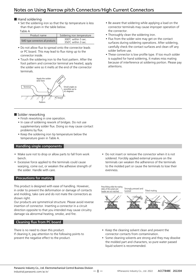#### ■ Hand soldering

• Set the soldering iron so that the tip temperature is less than that given in the table below.

Table A

| Product name                     | Soldering iron temperature               |
|----------------------------------|------------------------------------------|
| SMD type connectors all products | 300℃ within 5 sec.<br>350℃ within 3 sec. |

- Do not allow flux to spread onto the connector leads or PC board. This may lead to flux rising up to the connector inside.
- Touch the soldering iron to the foot pattern. After the foot pattern and connector terminal are heated, apply the solder wire so it melts at the end of the connector terminals.



#### ■ Solder reworking

- Finish reworking in one operation.
- In case of soldering rework of bridges. Do not use supplementary solder flux. Doing so may cause contact problems by flux.
- Keep the soldering iron tip temperature below the temperature given in Table A.

#### Handling single components

- Make sure not to drop or allow parts to fall from work bench.
- Excessive force applied to the terminals could cause warping, come out, or weaken the adhesive strength of the solder. Handle with care.

#### Precautions for mating

This product is designed with ease of handling. However, in order to prevent the deformation or damage of contacts and molding, take care and do not mate the connectors as shown right.

Our products are symmetrical structure. Please avoid reverse insertion of connector. Inserting a connector in a circuit direction opposite to that you intended may cause circuitry damage via abnormal heating, smoke, and fire.

#### Cleaning flux from PC board

There is no need to clean this product. If cleaning it, pay attention to the following points to prevent the negative effect to the product.

- Be aware that soldering while applying a load on the connector terminals may cause improper operation of the connector.
- Thoroughly clean the soldering iron.
- Flux from the solder wire may get on the contact surfaces during soldering operations. After soldering, carefully check the contact surfaces and clean off any solder before use.
- These connector is low profile type. If too much solder is supplied for hand soldering, It makes miss mating because of interference at soldering portion. Please pay attentions.

• Do not insert or remove the connector when it is not soldered. Forcibly applied external pressure on the terminals can weaken the adherence of the terminals to the molded part or cause the terminals to lose their evenness.

Strongly pressed and<br>twisted and Tilted mating Pressfitting while the mating inlets of the socket and header are not matched

- Keep the cleaning solvent clean and prevent the connector contacts from contamination.
- Some cleaning solvents are strong and they may dissolve the molded part and characters, so pure water passed liquid solvent is recommended.

ー 8 ー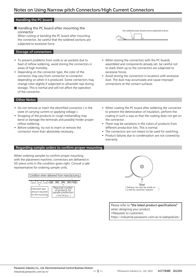#### Handling the PC board

■ Handling the PC board after mounting the connector

When cutting or bending the PC board after mounting the connector, be careful that the soldered sections are subjected to excessive force.

#### Storage of connectors

- To prevent problems from voids or air pockets due to heat of reflow soldering, avoid storing the connectors in areas of high humidity.
- Depending on the connector type, the color of the connector may vary from connector to connector depending on when it is produced. Some connectors may change color slightly if subjected to ultraviolet rays during storage. This is normal and will not affect the operation of the connector.

#### Other Notes

- Do not remove or insert the electrified connector ( in the state of carrying current or applying voltage ).
- Dropping of the products or rough mishandling may bend or damage the terminals and possibly hinder proper reflow soldering.
- Before soldering, try not to insert or remove the connector more than absolutely necessary.



- When storing the connectors with the PC boards assembled and components already set, be careful not to stack them up so the connectors are subjected to excessive forces.
- Avoid storing the connectors in locations with excessive dust. The dust may accumulate and cause improper connections at the contact surfaces.
- When coating the PC board after soldering the connector to prevent the deterioration of insulation, perform the coating in such a way so that the coating does not get on the connector.
- There may be variations in the colors of products from different production lots. This is normal.
- The connectors are not meant to be used for switching.
- Product failures due to condensation are not covered by warranty.

#### Regarding sample orders to confirm proper mounting

When ordering samples to confirm proper mounting with the placement machine, connectors are delivered in 50-piece units in the condition given right. Consult a sale representative for ordering sample units.





Please refer to "the latest product specifications" when designing your product. •Requests to customers: https://industrial.panasonic.com/ac/e/salespolicies/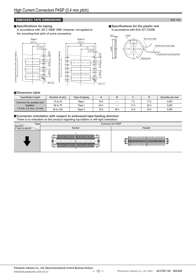#### **EMBOSSED TAPE DIMENSIONS EXECUTE THE EXECUTIVE OF THE EXECUTIVE OF THE EXECUTIVE OF THE Unit: mm**

#### **Specifications for taping**

In accordance with JIS C 0806:1990. However, not applied to the mounting-hole pitch of some connectors.



**Specifications for the plastic reel** In accordance with EIAJ ET-7200B.



#### **Dimension table**

| <b>Type/Mated height</b>     | Number of pins | Type of taping |      | B    |      | D    | Quantity per reel |
|------------------------------|----------------|----------------|------|------|------|------|-------------------|
| Common for sockets and       | 10 to 24       | Tape I         | 16.0 | –    | . ე  | 17.4 | 3,000             |
| headers                      | 26 to 70       | Tape I         | 24.0 | _    | 11.5 | 25.4 | 3,000             |
| $1.5$ mm, $2.5$ mm, $3.0$ mm | 80 to 100      | Tape II        | 32.0 | 28.4 | 14.2 | 33.4 | 3,000             |

 $(2.0)$   $(4.0)$ 

 $(2.0)$ 

 $(0.4)$ 

 $(8.0)$ 

#### **Connector orientation with respect to embossed tape feeding direction** There is no indication on this product regarding top-bottom or left-right orientation.

|                   | $\check{~}$<br>$\tilde{\phantom{a}}$<br>. .<br>$\tilde{}$           |                                                                                                                                                                                            |  |  |  |  |
|-------------------|---------------------------------------------------------------------|--------------------------------------------------------------------------------------------------------------------------------------------------------------------------------------------|--|--|--|--|
| Type<br>Direction |                                                                     | Common for P4SP                                                                                                                                                                            |  |  |  |  |
| of tape progress  | Socket                                                              | Header                                                                                                                                                                                     |  |  |  |  |
|                   | <u>╈┹╊┹╊┹┺┹╊╉╊╉╊┹╊╉╜╱╇╅┺╅┺╅╊╅╊╁╊┪┾┪</u> ┶<br>8888888888888888888888 | $\blacksquare$<br>1/10 no no no no no N<br>88888888888888888888<br>188888888N888888888<br>. <del>1 П. П. П. П. П. П. П. П. П.</del><br>U U U U U U U U U U U U<br>I U U U U<br>770 U U U U |  |  |  |  |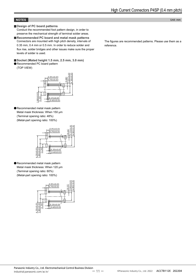#### **NOTES** Unit: mm

#### **Design of PC board patterns**

Conduct the recommended foot pattern design, in order to preserve the mechanical strength of terminal solder areas.

**Recommended PC board and metal mask patterns** Connectors are mounted with high pitch density, intervals of 0.35 mm, 0.4 mm or 0.5 mm. In order to reduce solder and flux rise, solder bridges and other issues make sure the proper levels of solder is used.

**Socket (Mated height 1.5 mm, 2.5 mm, 3.0 mm)** Recommended PC board pattern

(TOP VIEW)



Recommended metal mask pattern Metal mask thickness: When 150 μm (Terminal opening ratio: 48%) (Metal-part opening ratio: 100%)



Recommended metal mask pattern Metal mask thickness: When 120 μm (Terminal opening ratio: 60%) (Metal-part opening ratio: 100%)



The figures are recommended patterns. Please use them as a reference.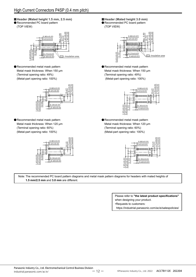**Header (Mated height 1.5 mm, 2.5 mm)** Recommended PC board pattern

(TOP VIEW)



Recommended metal mask pattern Metal mask thickness: When 150 μm (Terminal opening ratio: 49%) (Metal-part opening ratio: 100%)



Recommended metal mask pattern Metal mask thickness: When 120 μm (Terminal opening ratio: 60%) (Metal-part opening ratio: 100%)



**Header (Mated height 3.0 mm)** Recommended PC board pattern

(TOP VIEW)



Recommended metal mask pattern Metal mask thickness: When 150 μm (Terminal opening ratio: 49%) (Metal-part opening ratio: 100%)



Recommended metal mask pattern Metal mask thickness: When 120 μm (Terminal opening ratio: 60%) (Metal-part opening ratio: 100%)



Note: The recommended PC board pattern diagrams and metal mask pattern diagrams for headers with mated heights of

Please refer to **"the latest product specifications"** when designing your product. •Requests to customers:

https://industrial.panasonic.com/ac/e/salespolicies/